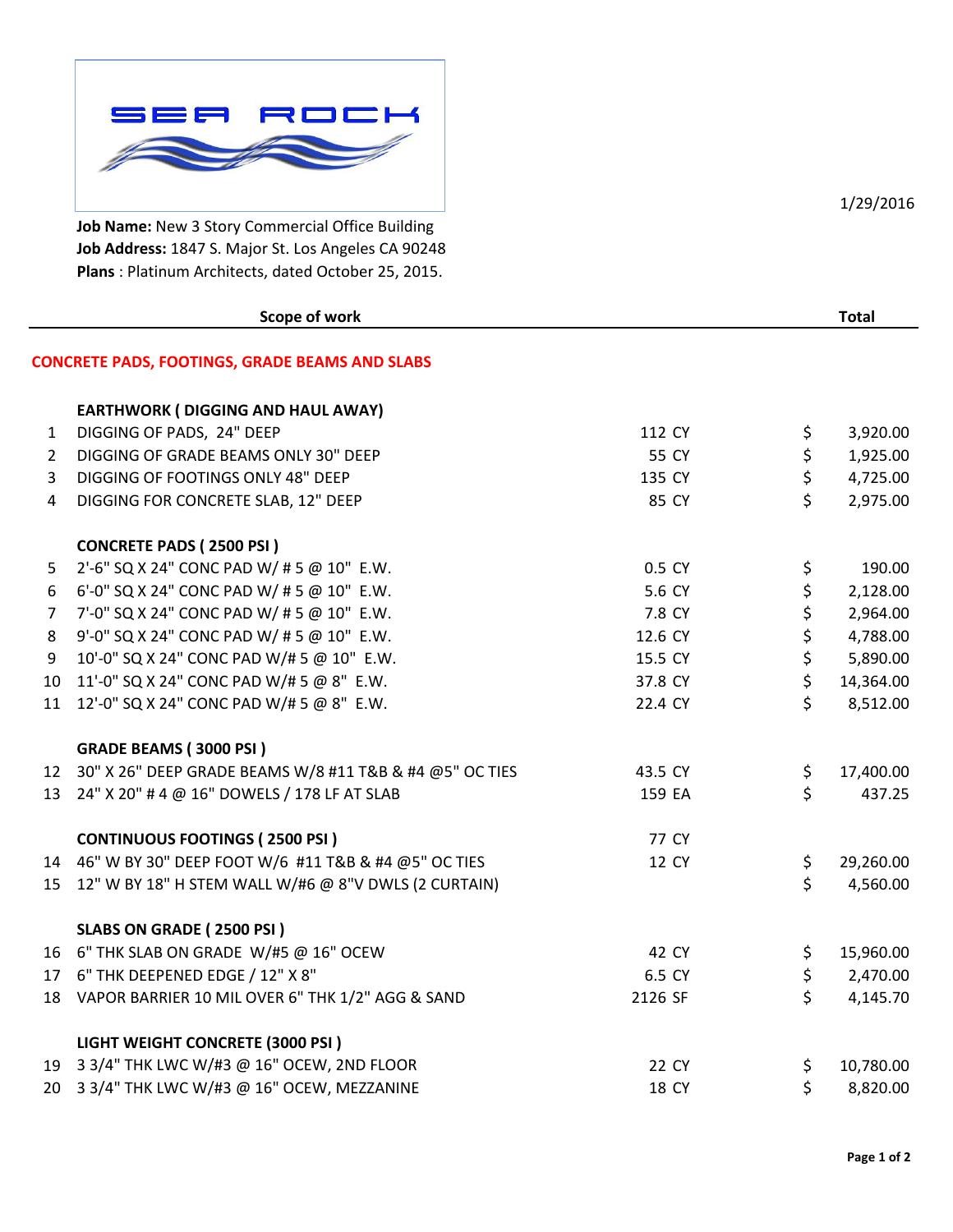

**Job Name:** New 3 Story Commercial Office Building **Job Address:** 1847 S. Major St. Los Angeles CA 90248 **Plans** : Platinum Architects, dated October 25, 2015.

| Scope of work    |                                                            |         |                    | <b>Total</b> |  |
|------------------|------------------------------------------------------------|---------|--------------------|--------------|--|
|                  | <b>CONCRETE PADS, FOOTINGS, GRADE BEAMS AND SLABS</b>      |         |                    |              |  |
|                  | <b>EARTHWORK (DIGGING AND HAUL AWAY)</b>                   |         |                    |              |  |
| $\mathbf{1}$     | DIGGING OF PADS, 24" DEEP                                  | 112 CY  | \$                 | 3,920.00     |  |
| $2^{\circ}$      | DIGGING OF GRADE BEAMS ONLY 30" DEEP                       | 55 CY   | \$                 | 1,925.00     |  |
| 3                | DIGGING OF FOOTINGS ONLY 48" DEEP                          | 135 CY  | \$                 | 4,725.00     |  |
| $\overline{4}$   | DIGGING FOR CONCRETE SLAB, 12" DEEP                        | 85 CY   | \$                 | 2,975.00     |  |
|                  | <b>CONCRETE PADS (2500 PSI)</b>                            |         |                    |              |  |
| 5                | 2'-6" SQ X 24" CONC PAD W/ # 5 @ 10" E.W.                  | 0.5 CY  | \$                 | 190.00       |  |
| $\boldsymbol{6}$ | 6'-0" SQ X 24" CONC PAD W/ # 5 @ 10" E.W.                  | 5.6 CY  | \$                 | 2,128.00     |  |
| $\overline{7}$   | 7'-0" SQ X 24" CONC PAD W/ # 5 @ 10" E.W.                  | 7.8 CY  | \$                 | 2,964.00     |  |
| 8                | 9'-0" SQ X 24" CONC PAD W/ # 5 @ 10" E.W.                  | 12.6 CY | \$                 | 4,788.00     |  |
| 9                | 10'-0" SQ X 24" CONC PAD W/# 5 @ 10" E.W.                  | 15.5 CY | \$                 | 5,890.00     |  |
| 10 <sup>°</sup>  | 11'-0" SQ X 24" CONC PAD W/# 5 @ 8" E.W.                   | 37.8 CY | \$                 | 14,364.00    |  |
| 11               | 12'-0" SQ X 24" CONC PAD W/# 5 @ 8" E.W.                   | 22.4 CY | \$                 | 8,512.00     |  |
|                  | <b>GRADE BEAMS (3000 PSI)</b>                              |         |                    |              |  |
|                  | 12 30" X 26" DEEP GRADE BEAMS W/8 #11 T&B & #4 @5" OC TIES | 43.5 CY | \$                 | 17,400.00    |  |
|                  | 13 24" X 20" # 4 @ 16" DOWELS / 178 LF AT SLAB             | 159 EA  | \$                 | 437.25       |  |
|                  | <b>CONTINUOUS FOOTINGS (2500 PSI)</b>                      | 77 CY   |                    |              |  |
|                  | 14 46" W BY 30" DEEP FOOT W/6 #11 T&B & #4 @5" OC TIES     | 12 CY   | \$                 | 29,260.00    |  |
| 15               | 12" W BY 18" H STEM WALL W/#6 @ 8"V DWLS (2 CURTAIN)       |         | $\mathsf{\dot{S}}$ | 4,560.00     |  |
|                  | SLABS ON GRADE (2500 PSI)                                  |         |                    |              |  |
|                  | 16 6" THK SLAB ON GRADE W/#5 @ 16" OCEW                    | 42 CY   | \$                 | 15,960.00    |  |
|                  | 17 6" THK DEEPENED EDGE / 12" X 8"                         | 6.5 CY  | \$                 | 2,470.00     |  |
|                  | 18 VAPOR BARRIER 10 MIL OVER 6" THK 1/2" AGG & SAND        | 2126 SF | $\mathsf{\dot{S}}$ | 4,145.70     |  |
|                  | LIGHT WEIGHT CONCRETE (3000 PSI)                           |         |                    |              |  |
|                  | 19 3 3/4" THK LWC W/#3 @ 16" OCEW, 2ND FLOOR               | 22 CY   | \$                 | 10,780.00    |  |
| 20               | 3 3/4" THK LWC W/#3 @ 16" OCEW, MEZZANINE                  | 18 CY   | \$                 | 8,820.00     |  |

1/29/2016